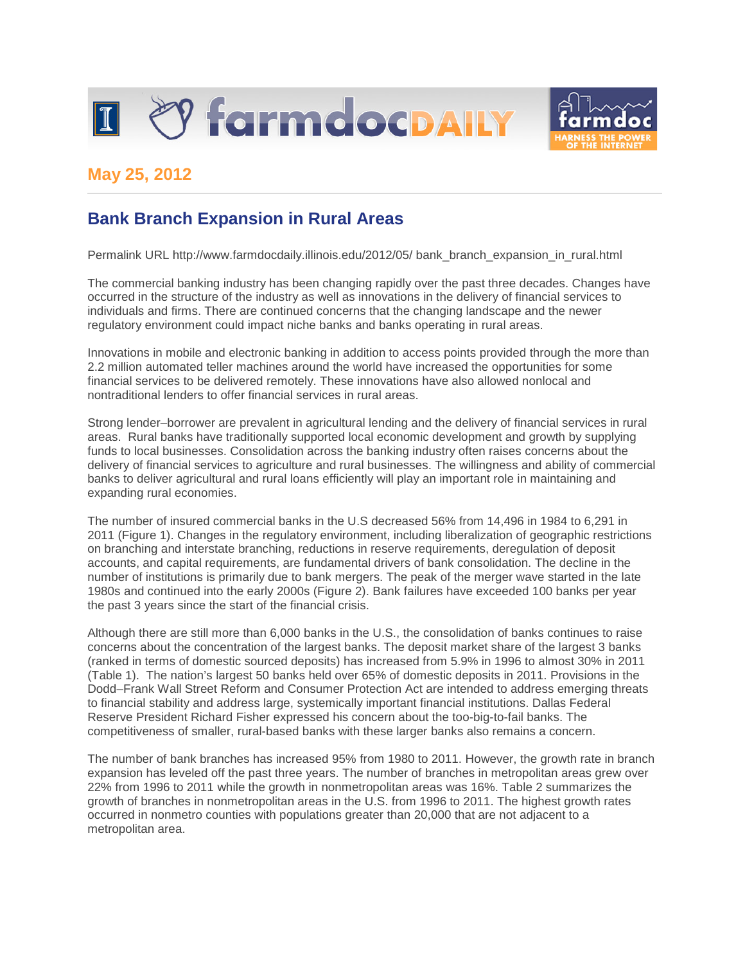



## **May 25, 2012**

## **Bank Branch Expansion in Rural Areas**

Permalink URL http://www.farmdocdaily.illinois.edu/2012/05/ bank\_branch\_expansion\_in\_rural.html

The commercial banking industry has been changing rapidly over the past three decades. Changes have occurred in the structure of the industry as well as innovations in the delivery of financial services to individuals and firms. There are continued concerns that the changing landscape and the newer regulatory environment could impact niche banks and banks operating in rural areas.

Innovations in mobile and electronic banking in addition to access points provided through the more than 2.2 million automated teller machines around the world have increased the opportunities for some financial services to be delivered remotely. These innovations have also allowed nonlocal and nontraditional lenders to offer financial services in rural areas.

Strong lender–borrower are prevalent in agricultural lending and the delivery of financial services in rural areas. Rural banks have traditionally supported local economic development and growth by supplying funds to local businesses. Consolidation across the banking industry often raises concerns about the delivery of financial services to agriculture and rural businesses. The willingness and ability of commercial banks to deliver agricultural and rural loans efficiently will play an important role in maintaining and expanding rural economies.

The number of insured commercial banks in the U.S decreased 56% from 14,496 in 1984 to 6,291 in 2011 (Figure 1). Changes in the regulatory environment, including liberalization of geographic restrictions on branching and interstate branching, reductions in reserve requirements, deregulation of deposit accounts, and capital requirements, are fundamental drivers of bank consolidation. The decline in the number of institutions is primarily due to bank mergers. The peak of the merger wave started in the late 1980s and continued into the early 2000s (Figure 2). Bank failures have exceeded 100 banks per year the past 3 years since the start of the financial crisis.

Although there are still more than 6,000 banks in the U.S., the consolidation of banks continues to raise concerns about the concentration of the largest banks. The deposit market share of the largest 3 banks (ranked in terms of domestic sourced deposits) has increased from 5.9% in 1996 to almost 30% in 2011 (Table 1). The nation's largest 50 banks held over 65% of domestic deposits in 2011. Provisions in the Dodd–Frank Wall Street Reform and Consumer Protection Act are intended to address emerging threats to financial stability and address large, systemically important financial institutions. Dallas Federal Reserve President Richard Fisher expressed his concern about the too-big-to-fail banks. The competitiveness of smaller, rural-based banks with these larger banks also remains a concern.

The number of bank branches has increased 95% from 1980 to 2011. However, the growth rate in branch expansion has leveled off the past three years. The number of branches in metropolitan areas grew over 22% from 1996 to 2011 while the growth in nonmetropolitan areas was 16%. Table 2 summarizes the growth of branches in nonmetropolitan areas in the U.S. from 1996 to 2011. The highest growth rates occurred in nonmetro counties with populations greater than 20,000 that are not adjacent to a metropolitan area.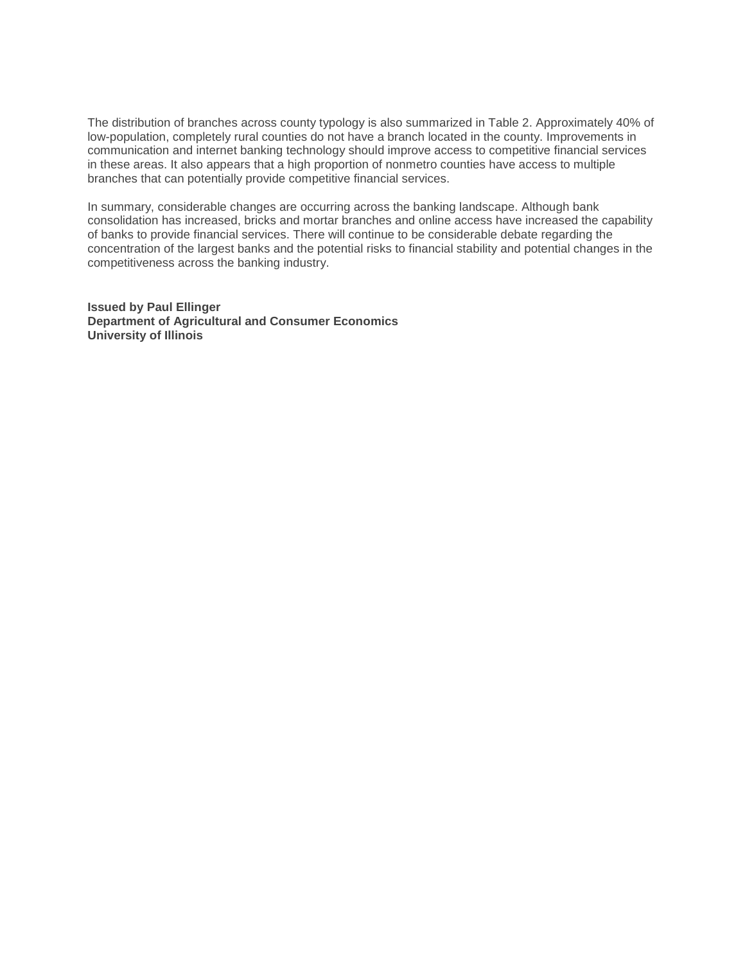The distribution of branches across county typology is also summarized in Table 2. Approximately 40% of low-population, completely rural counties do not have a branch located in the county. Improvements in communication and internet banking technology should improve access to competitive financial services in these areas. It also appears that a high proportion of nonmetro counties have access to multiple branches that can potentially provide competitive financial services.

In summary, considerable changes are occurring across the banking landscape. Although bank consolidation has increased, bricks and mortar branches and online access have increased the capability of banks to provide financial services. There will continue to be considerable debate regarding the concentration of the largest banks and the potential risks to financial stability and potential changes in the competitiveness across the banking industry.

**Issued by Paul Ellinger Department of Agricultural and Consumer Economics University of Illinois**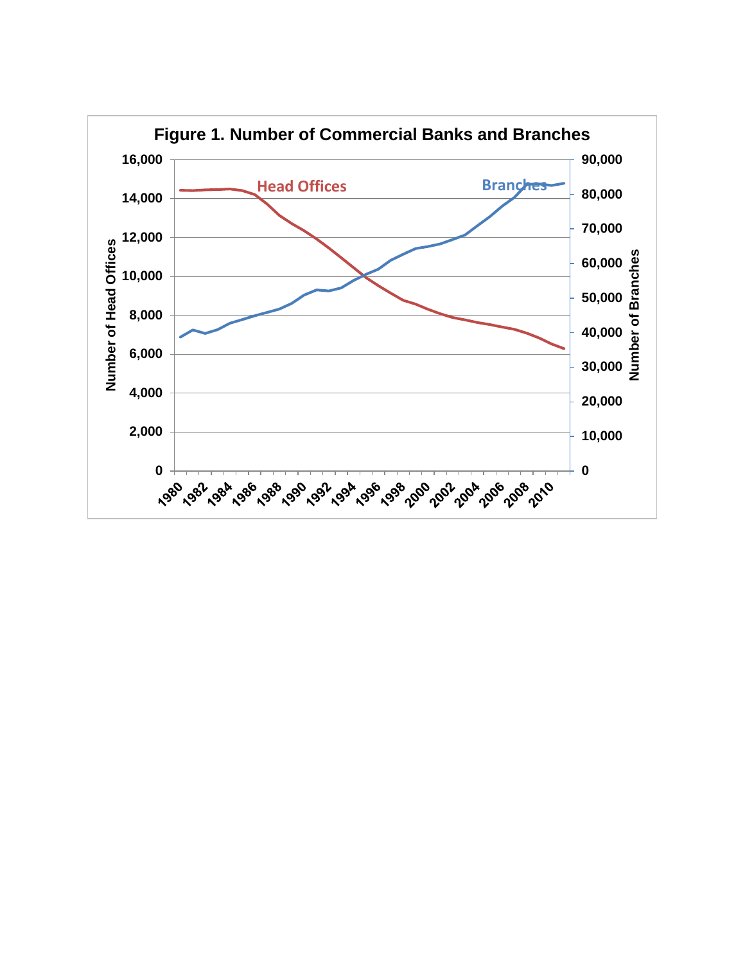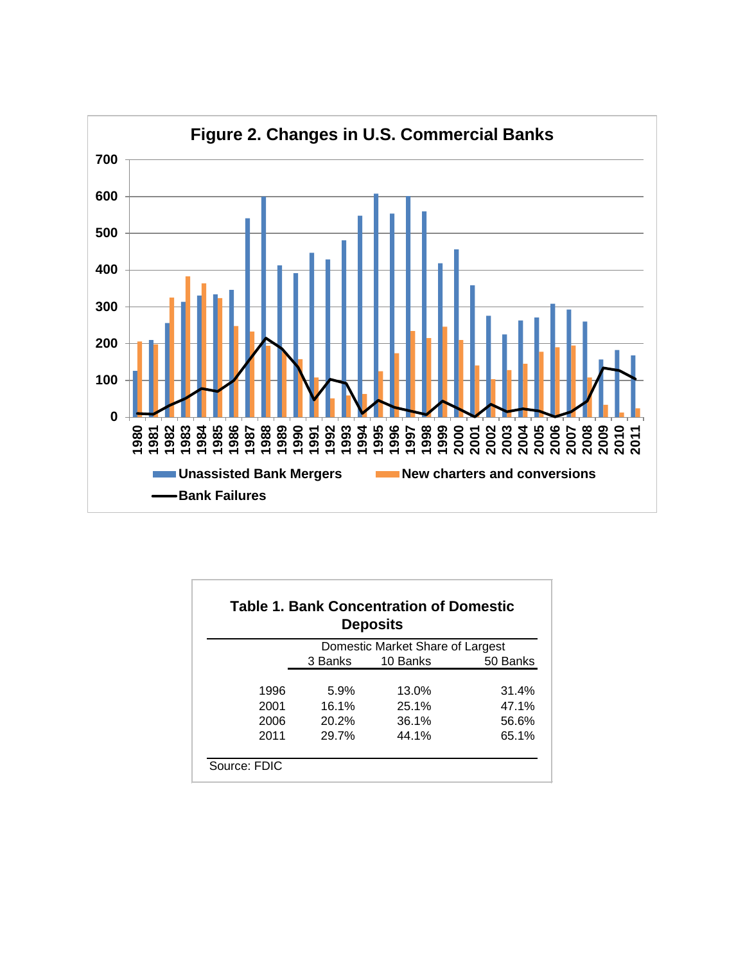

|              |         | <b>Table 1. Bank Concentration of Domestic</b><br><b>Deposits</b> |          |
|--------------|---------|-------------------------------------------------------------------|----------|
|              |         | Domestic Market Share of Largest                                  |          |
|              | 3 Banks | 10 Banks                                                          | 50 Banks |
|              |         |                                                                   |          |
| 1996         | 5.9%    | 13.0%                                                             | 31.4%    |
| 2001         | 16.1%   | 25.1%                                                             | 47.1%    |
| 2006         | 20.2%   | 36.1%                                                             | 56.6%    |
| 2011         | 29.7%   | 44.1%                                                             | 65.1%    |
|              |         |                                                                   |          |
| Source: FDIC |         |                                                                   |          |